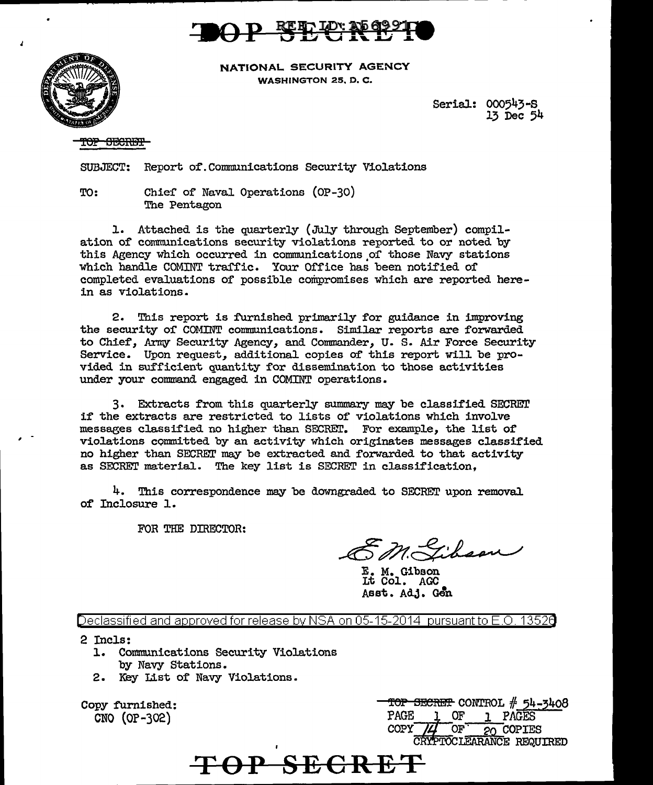



NATIONAL. SECURITY AGENCY WASHINGTON 25, D. C.

> SeriaJ.: 000543-s 13 Dec 54

TOP SECRET

SUBJECT: Report of. Communications Security Violations

TO: Chief' of Naval Operations (OP-30) The Pentagon

l. Attached is the quarterly (July through September) compilation of communications security violations reported to or noted by this Agency which occurred in communications of those Navy stations which handle COMINT traffic. Your Office has been notified of completed evaluations of' possible compromises which are reported herein as violations.

2. This report is furnished primarily for guidance in improving the security of COMINT communications. Similar reports are forwarded to Chief, Army Security Agency, and Commander, u. s. Air Force Security Service. Upon request, additional copies of this report will be provided in sufficient quantity for dissemination to those activities under your command engaged in COMINT operations.

3. Extracts f'rom this quarterly summary may be classified SECREn' if' the extracts are restricted to lists of' violations which involve messages classified no higher than SECRET. For example, the list of violations committed by an activity which originates messages classified no higher than SECRET may be extracted and forwarded to that activity as SECRET material. The key list is SECRET in classification,

4. This correspondence may be downgraded to SECRET upon removal of Inclosure 1.

FOR THE DIRECTOR:

EM. Gibson

E. M. Gibson Lt Col. AGC Asst. Adj. Gen

Declassified and approved for release by NSA on 05-15-2014 pursuantto E .0. 1352a

2 Incls:

- l. Communications Security Violations by Navy Stations.
- 2. Key List of' Navy Violations.

Copy furnished: CNO (OP-302)

**TOP SECRET CONTROL # 54-3408**<br>PAGE 1 OF 1 PAGES PAGE 1 OF 1 PAGES<br>COPY 14 OF 20 COPIE:  $20$  COPIES CRYPTOCLEARANCE REQUIRED

**TOP SECRET**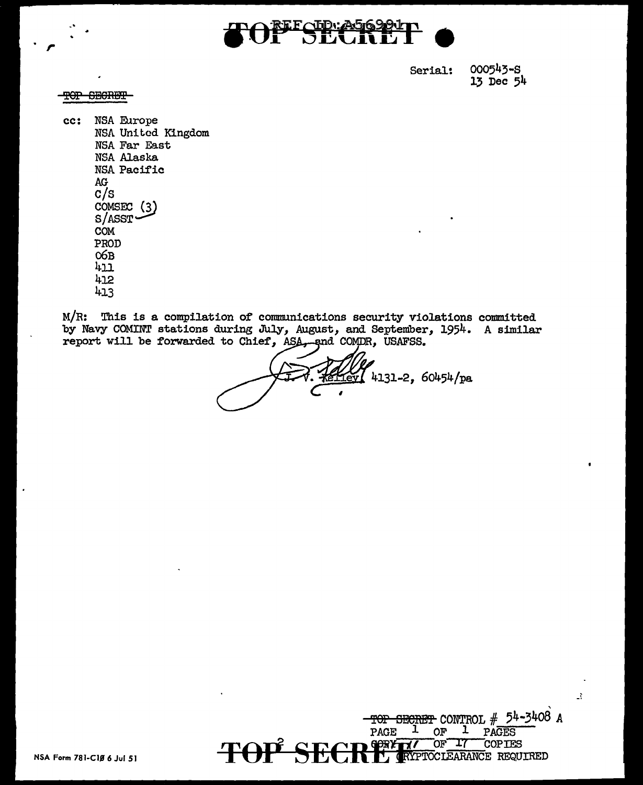

000543-8 Serial:  $13$  Dec  $54$ 

#### **SECRET** Ŧ<del>OP</del>

NSA Europe  $cc:$ NSA United Kingdom NSA Far East **NSA Alaska** NSA Pacific  $AG$  $c/s$ COMSEC (3)  $S/ASST$ **COM** PROD  $O6B$  $h_{11}$ 412 413

M/R: This is a compilation of communications security violations committed by Navy COMINT stations during July, August, and September, 1954. A similar report will be forwarded to Chief, ASA, and COMDR, USAFSS.

 $[6y]$  4131-2, 60454/pa



 $\hat{\mathcal{X}}$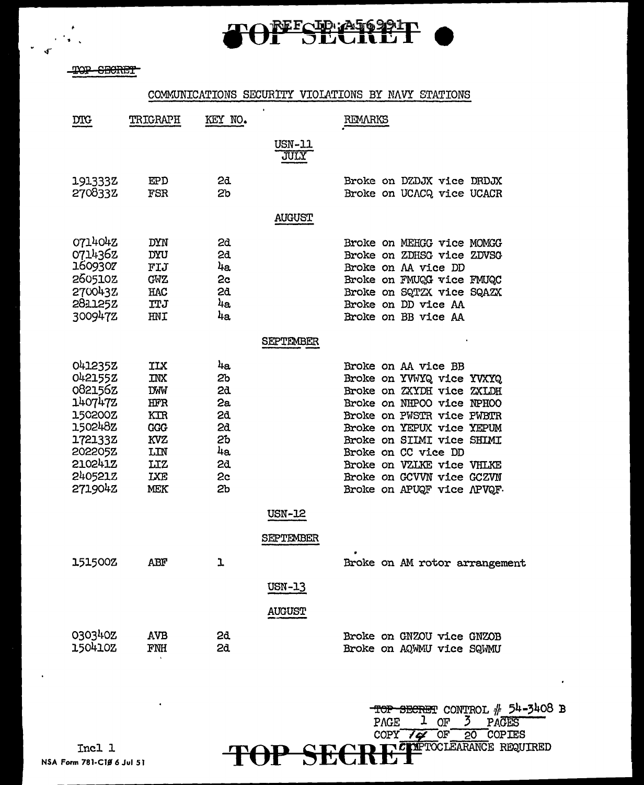

TOP SECRET

 $\bullet$  .

### COMMUNICATIONS SECURITY VIOLATIONS BY NAVY STATIONS

 $\ddot{\phantom{a}}$ 

| <b>DIG</b>                                                                                                            | TRIGRAPH                                                                                                            | KEY NO.                                                          |                                             | REMARKS                                                                                                                                                                                                                                                                                                          |
|-----------------------------------------------------------------------------------------------------------------------|---------------------------------------------------------------------------------------------------------------------|------------------------------------------------------------------|---------------------------------------------|------------------------------------------------------------------------------------------------------------------------------------------------------------------------------------------------------------------------------------------------------------------------------------------------------------------|
|                                                                                                                       |                                                                                                                     |                                                                  | <b>USN-11</b><br><b>JULY</b>                |                                                                                                                                                                                                                                                                                                                  |
| 191333Z<br>2708332                                                                                                    | EP D<br>FSR                                                                                                         | 2d<br>2 <sub>b</sub>                                             |                                             | Broke on DZDJX vice DRDJX<br>Broke on UCACQ vice UCACR                                                                                                                                                                                                                                                           |
|                                                                                                                       |                                                                                                                     |                                                                  | <b>AUGUST</b>                               |                                                                                                                                                                                                                                                                                                                  |
| 0714042<br>0714362<br>1609307<br>260510Z<br>2700432<br>2811252<br>300947Z                                             | DYN<br><b>DYU</b><br>FIJ<br><b>GWZ</b><br>HAC<br><b>TTJ</b><br>HNI                                                  | 2d<br>2d<br>4a<br>2c<br>2d<br>4а<br>4a                           |                                             | Broke on MEHGG vice MOMGG<br>Broke on ZDHSG vice ZDVSG<br>Broke on AA vice DD<br>Broke on FMUQG vice FMUQC<br>Broke on SQTZX vice SQAZX<br>Broke on DD vice AA<br>Broke on BB vice AA                                                                                                                            |
|                                                                                                                       |                                                                                                                     |                                                                  | <b>SEPTEMBER</b>                            |                                                                                                                                                                                                                                                                                                                  |
| 041235Z<br>0421552<br>082156Z<br>1407472<br>150200Z<br>150248Z<br>1721332<br>202205Z<br>210241Z<br>240521Z<br>271904Z | ILX<br><b>INX</b><br><b>DMM</b><br><b>HFR</b><br>KTR<br><b>GGG</b><br>KVZ<br>LIN<br>LIZ<br><b>IXE</b><br><b>MEK</b> | 4a<br>2ь<br>2d<br>2a<br>2d<br>2ð.<br>2b<br>4a<br>2d.<br>2c<br>2b |                                             | Broke on AA vice BB<br>Broke on YVWYQ vice YVXYQ<br>Broke on ZXYDH vice ZXIDH<br>Broke on NHPOO vice NPHOO<br>Broke on PWSTR vice PWBTR<br>Broke on YEPUX vice YEPUM<br>Broke on SILMI vice SHIMI<br>Broke on CC vice DD<br>Broke on VZLKE vice VHLKE<br>Broke on GCVVN vice GCZVN<br>Broke on APUQF vice APVQF. |
|                                                                                                                       |                                                                                                                     |                                                                  | USN-12                                      |                                                                                                                                                                                                                                                                                                                  |
| 151500Z                                                                                                               | ABF                                                                                                                 | ı                                                                | <b>SEPTEMBER</b><br>USN-13<br><b>AUGUST</b> | Broke on AM rotor arrangement                                                                                                                                                                                                                                                                                    |
| 030340Z<br>150410Z                                                                                                    | AVB<br>FNH                                                                                                          | 2d<br>2d                                                         |                                             | <b>Broke on GNZOU vice GNZOB</b><br>Broke on AQWMU vice SQWMU                                                                                                                                                                                                                                                    |

TOP SECRET CONTROL # 54-3408 B<br>PAGE 1 OF 3 PAGES<br>COPY 74 OF 20 COPIES<br>PREPERTOCLEARANCE REQUIRED **TOP SECRE** 

 $\bullet$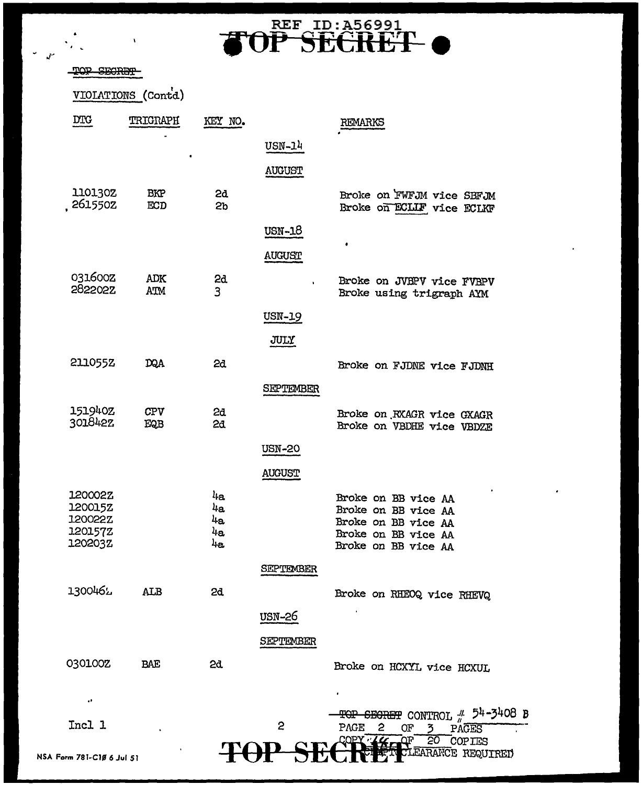# **TOP SECRET**

#### TOP SECRET

٠.  $\ddot{\phantom{a}}$ 

VIOLATIONS (Contd)

| $_{\rm DTC}$                                               | TRIGRAPH          | KEY NO.                                 |                  | REMARKS                                                                                                               |
|------------------------------------------------------------|-------------------|-----------------------------------------|------------------|-----------------------------------------------------------------------------------------------------------------------|
|                                                            |                   |                                         | USN-14           |                                                                                                                       |
|                                                            |                   |                                         | <b>AUGUST</b>    |                                                                                                                       |
| 110130Z<br>2615502                                         | <b>BKP</b><br>ECD | 2d<br>Sp                                |                  | Broke on FWFJM vice SBFJM<br>Broke on ECLIF vice ECLKF                                                                |
|                                                            |                   |                                         | USN-18           |                                                                                                                       |
|                                                            |                   |                                         | AUGUST           | ٠                                                                                                                     |
| 031600Z<br>282202Z                                         | ADK<br>ATM        | 2d<br>$\overline{3}$                    |                  | Broke on JVBPV vice FVBPV<br>Broke using trigraph AYM                                                                 |
|                                                            |                   |                                         | USN-19           |                                                                                                                       |
|                                                            |                   |                                         | JULY             |                                                                                                                       |
| 211055Z                                                    | DQA               | 2d                                      |                  | Broke on FJDNE vice FJDNH                                                                                             |
|                                                            |                   |                                         | <b>SEPTEMBER</b> |                                                                                                                       |
| 151940Z<br>301842Z                                         | <b>CPV</b><br>EQB | 2d<br>2d                                |                  | Broke on RXAGR vice GXAGR<br>Broke on VBDHE vice VBDZE                                                                |
|                                                            |                   |                                         | <b>USN-20</b>    |                                                                                                                       |
|                                                            |                   |                                         | <b>AUGUST</b>    |                                                                                                                       |
| 120002Z<br>1200152<br>120022Z<br><b>120157Z</b><br>120203Z |                   | $l_{\text{la}}$<br>4a<br>4a<br>4a<br>4a |                  | Broke on BB vice AA<br>Broke on BB vice AA<br>Broke on BB vice AA<br>Broke on BB vice AA<br>Broke on BB vice AA       |
|                                                            |                   |                                         | <b>SEPTEMBER</b> |                                                                                                                       |
| 1300462                                                    | <b>ALB</b>        | 2d                                      |                  | Broke on RHEOQ vice RHEVQ                                                                                             |
|                                                            |                   |                                         | <b>USN-26</b>    |                                                                                                                       |
|                                                            |                   |                                         | SEPTEMBER        |                                                                                                                       |
| 030100Z                                                    | BAE               | 2d                                      |                  | Broke on HCXYL vice HCXUL                                                                                             |
| $\cdot$                                                    |                   |                                         |                  |                                                                                                                       |
| Incl 1                                                     |                   |                                         | 2                | $\frac{\text{TOP}}{\text{O}}$ SEGRET CONTROL $\frac{\text{II}}{\text{II}}$ 54-3408 B<br>PAGE<br>2<br>OF<br>3<br>PAGES |
| rm 781-C1Ø 6 Jul 51                                        |                   |                                         |                  | COPY LL<br>50<br>ΩF<br>COPIES<br>EARANCE REQUIRED                                                                     |

NSA Form 781-C10 6 Jul 51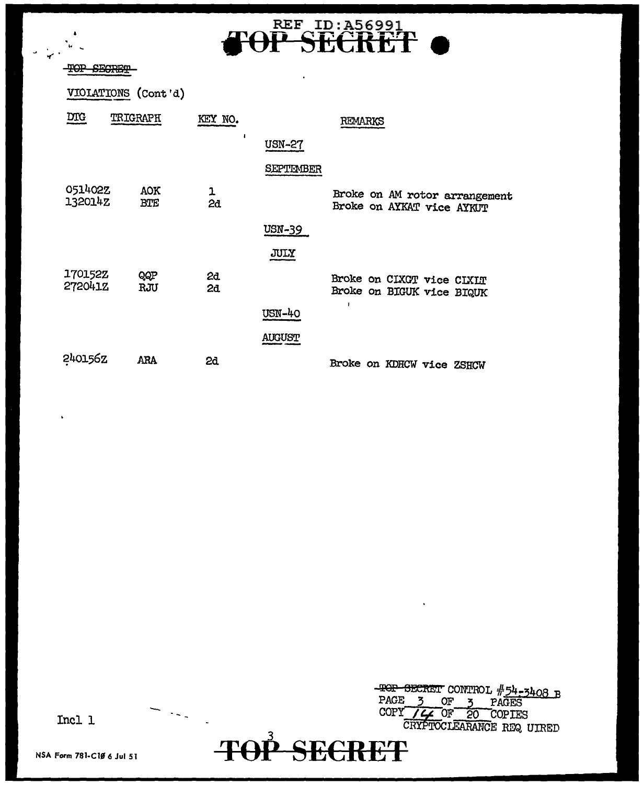## REF ID: A56991<br>P SECRET FA

 $\ddot{\phantom{a}}$ 

#### TOP SECRET

 $\pmb{\ast}$ 

 $\mathbb{R}^n$ 

VIOLATIONS (Cont'd)

| <b>DTG</b>         | <b>TRIGRAPH</b>   | KEY NO.  |               | REMARKS                                                    |
|--------------------|-------------------|----------|---------------|------------------------------------------------------------|
|                    |                   |          | <b>USN-27</b> |                                                            |
|                    |                   |          | SEPTEMBER     |                                                            |
| 051402Z<br>132014Z | AOK<br><b>BTE</b> | 1<br>2d  |               | Broke on AM rotor arrangement<br>Broke on AYKAT vice AYKUT |
|                    |                   |          | <b>USN-39</b> |                                                            |
|                    |                   |          | JULY          |                                                            |
| 170152Z<br>2720412 | QQP<br>RJU        | 2d<br>2d |               | Broke on CIXGT vice CIXIT<br>Broke on BIGUK vice BIQUK     |
|                    |                   |          | <b>USN-40</b> | ı                                                          |
|                    |                   |          | <b>AUGUST</b> |                                                            |
| 240156Z            | ARA               | 2d       |               | Broke on KDHCW vice ZSHCW                                  |

TOP SECRET CONTROL #54-3408 B<br>PAGE 3 OF 3 PAGES<br>COPY / 4 OF 20 COPIES<br>CRYPTOCLEARANCE REQ UIRED

Incl 1

NSA Form 781-C10 6 Jul 51

 $\langle\cdot,\cdot\rangle$